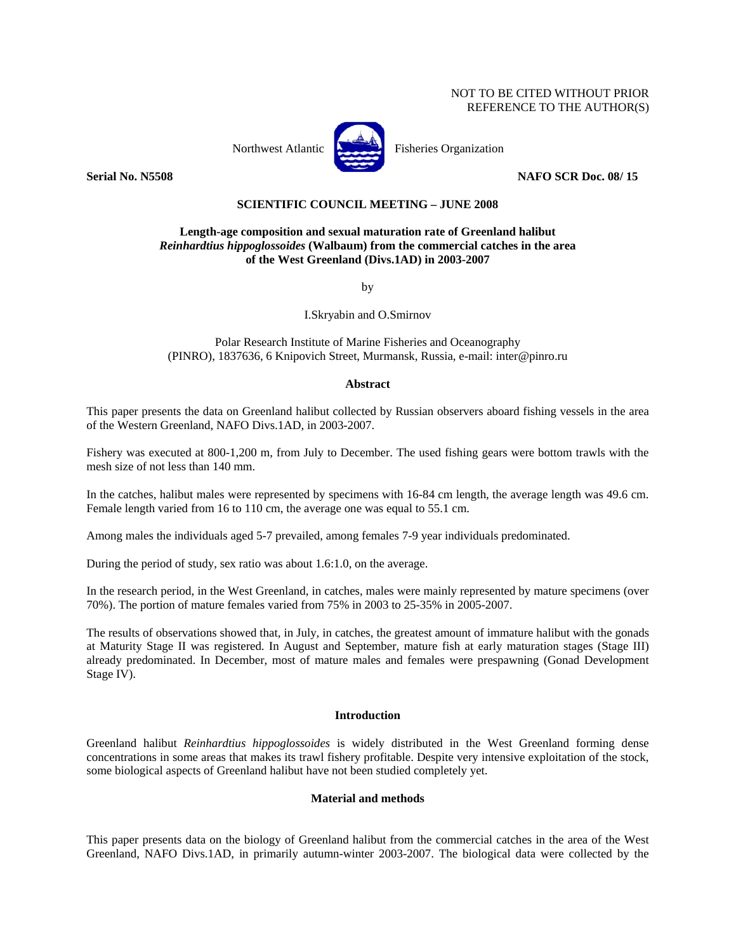# NOT TO BE CITED WITHOUT PRIOR REFERENCE TO THE AUTHOR(S)



**Serial No. N5508 NAFO SCR Doc. 08/ 15** 

# **SCIENTIFIC COUNCIL MEETING – JUNE 2008**

## **Length-age composition and sexual maturation rate of Greenland halibut**  *Reinhardtius hippoglossoides* **(Walbaum) from the commercial catches in the area of the West Greenland (Divs.1AD) in 2003-2007**

by

I.Skryabin and O.Smirnov

Polar Research Institute of Marine Fisheries and Oceanography (PINRO), 1837636, 6 Knipovich Street, Murmansk, Russia, e-mail: inter@pinro.ru

### **Abstract**

This paper presents the data on Greenland halibut collected by Russian observers aboard fishing vessels in the area of the Western Greenland, NAFO Divs.1AD, in 2003-2007.

Fishery was executed at 800-1,200 m, from July to December. The used fishing gears were bottom trawls with the mesh size of not less than 140 mm.

In the catches, halibut males were represented by specimens with 16-84 cm length, the average length was 49.6 cm. Female length varied from 16 to 110 cm, the average one was equal to 55.1 cm.

Among males the individuals aged 5-7 prevailed, among females 7-9 year individuals predominated.

During the period of study, sex ratio was about 1.6:1.0, on the average.

In the research period, in the West Greenland, in catches, males were mainly represented by mature specimens (over 70%). The portion of mature females varied from 75% in 2003 to 25-35% in 2005-2007.

The results of observations showed that, in July, in catches, the greatest amount of immature halibut with the gonads at Maturity Stage II was registered. In August and September, mature fish at early maturation stages (Stage III) already predominated. In December, most of mature males and females were prespawning (Gonad Development Stage IV).

### **Introduction**

Greenland halibut *Reinhardtius hippoglossoides* is widely distributed in the West Greenland forming dense concentrations in some areas that makes its trawl fishery profitable. Despite very intensive exploitation of the stock, some biological aspects of Greenland halibut have not been studied completely yet.

#### **Material and methods**

This paper presents data on the biology of Greenland halibut from the commercial catches in the area of the West Greenland, NAFO Divs.1AD, in primarily autumn-winter 2003-2007. The biological data were collected by the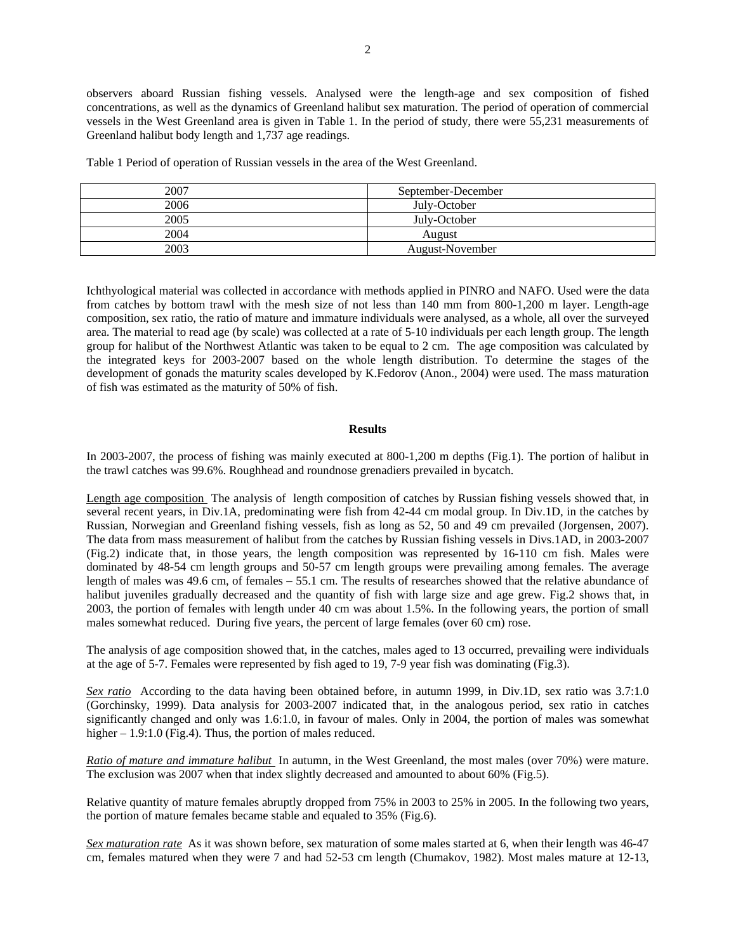observers aboard Russian fishing vessels. Analysed were the length-age and sex composition of fished concentrations, as well as the dynamics of Greenland halibut sex maturation. The period of operation of commercial vessels in the West Greenland area is given in Table 1. In the period of study, there were 55,231 measurements of Greenland halibut body length and 1,737 age readings.

Table 1 Period of operation of Russian vessels in the area of the West Greenland.

| 2007 | September-December |
|------|--------------------|
| 2006 | July-October       |
| 2005 | July-October       |
| 2004 | August             |
| 2003 | August-November    |

Ichthyological material was collected in accordance with methods applied in PINRO and NAFO. Used were the data from catches by bottom trawl with the mesh size of not less than 140 mm from 800-1,200 m layer. Length-age composition, sex ratio, the ratio of mature and immature individuals were analysed, as a whole, all over the surveyed area. The material to read age (by scale) was collected at a rate of 5-10 individuals per each length group. The length group for halibut of the Northwest Atlantic was taken to be equal to 2 cm. The age composition was calculated by the integrated keys for 2003-2007 based on the whole length distribution. To determine the stages of the development of gonads the maturity scales developed by K.Fedorov (Anon., 2004) were used. The mass maturation of fish was estimated as the maturity of 50% of fish.

## **Results**

In 2003-2007, the process of fishing was mainly executed at 800-1,200 m depths (Fig.1). The portion of halibut in the trawl catches was 99.6%. Roughhead and roundnose grenadiers prevailed in bycatch.

Length age composition The analysis of length composition of catches by Russian fishing vessels showed that, in several recent years, in Div.1A, predominating were fish from 42-44 cm modal group. In Div.1D, in the catches by Russian, Norwegian and Greenland fishing vessels, fish as long as 52, 50 and 49 cm prevailed (Jorgensen, 2007). The data from mass measurement of halibut from the catches by Russian fishing vessels in Divs.1AD, in 2003-2007 (Fig.2) indicate that, in those years, the length composition was represented by 16-110 cm fish. Males were dominated by 48-54 cm length groups and 50-57 cm length groups were prevailing among females. The average length of males was 49.6 cm, of females – 55.1 cm. The results of researches showed that the relative abundance of halibut juveniles gradually decreased and the quantity of fish with large size and age grew. Fig.2 shows that, in 2003, the portion of females with length under 40 cm was about 1.5%. In the following years, the portion of small males somewhat reduced. During five years, the percent of large females (over 60 cm) rose.

The analysis of age composition showed that, in the catches, males aged to 13 occurred, prevailing were individuals at the age of 5-7. Females were represented by fish aged to 19, 7-9 year fish was dominating (Fig.3).

*Sex ratio* According to the data having been obtained before, in autumn 1999, in Div.1D, sex ratio was 3.7:1.0 (Gorchinsky, 1999). Data analysis for 2003-2007 indicated that, in the analogous period, sex ratio in catches significantly changed and only was 1.6:1.0, in favour of males. Only in 2004, the portion of males was somewhat higher – 1.9:1.0 (Fig.4). Thus, the portion of males reduced.

*Ratio of mature and immature halibut* In autumn, in the West Greenland, the most males (over 70%) were mature. The exclusion was 2007 when that index slightly decreased and amounted to about 60% (Fig.5).

Relative quantity of mature females abruptly dropped from 75% in 2003 to 25% in 2005. In the following two years, the portion of mature females became stable and equaled to 35% (Fig.6).

*Sex maturation rate* As it was shown before, sex maturation of some males started at 6, when their length was 46-47 cm, females matured when they were 7 and had 52-53 cm length (Chumakov, 1982). Most males mature at 12-13,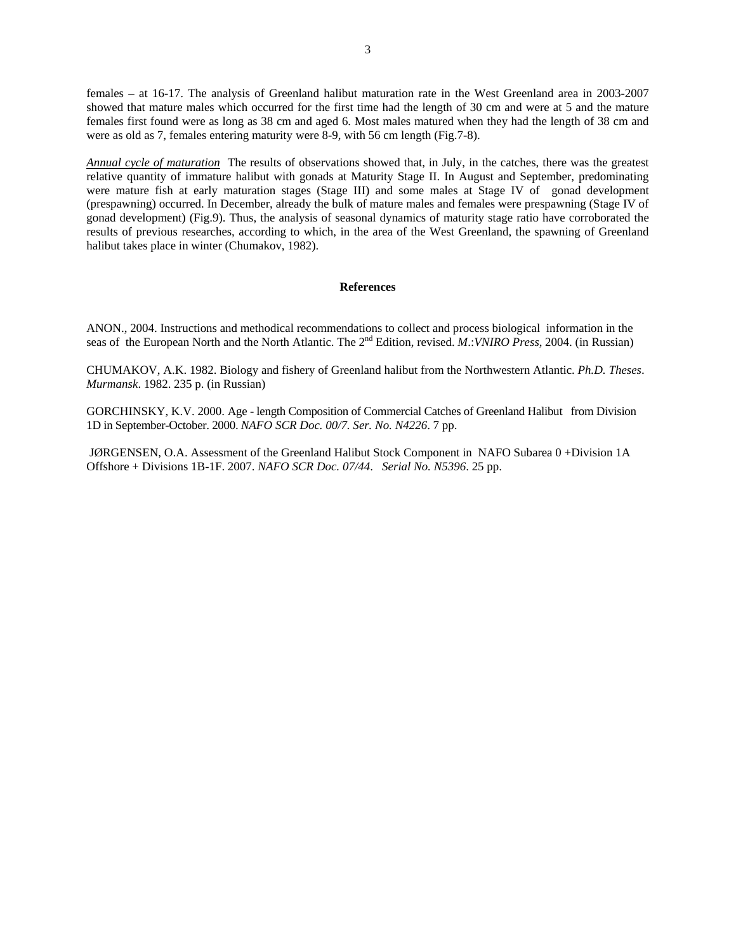females – at 16-17. The analysis of Greenland halibut maturation rate in the West Greenland area in 2003-2007 showed that mature males which occurred for the first time had the length of 30 cm and were at 5 and the mature females first found were as long as 38 cm and aged 6. Most males matured when they had the length of 38 cm and were as old as 7, females entering maturity were 8-9, with 56 cm length (Fig.7-8).

*Annual cycle of maturation* The results of observations showed that, in July, in the catches, there was the greatest relative quantity of immature halibut with gonads at Maturity Stage II. In August and September, predominating were mature fish at early maturation stages (Stage III) and some males at Stage IV of gonad development (prespawning) occurred. In December, already the bulk of mature males and females were prespawning (Stage IV of gonad development) (Fig.9). Thus, the analysis of seasonal dynamics of maturity stage ratio have corroborated the results of previous researches, according to which, in the area of the West Greenland, the spawning of Greenland halibut takes place in winter (Chumakov, 1982).

### **References**

ANON., 2004. Instructions and methodical recommendations to collect and process biological information in the seas of the European North and the North Atlantic. The 2nd Edition, revised. *M*.:*VNIRO Press*, 2004. (in Russian)

CHUMAKOV, A.K. 1982. Biology and fishery of Greenland halibut from the Northwestern Atlantic. *Ph.D. Theses*. *Murmansk*. 1982. 235 p. (in Russian)

GORCHINSKY, K.V. 2000. Age - length Composition of Commercial Catches of Greenland Halibut from Division 1D in September-October. 2000. *NAFO SCR Doc. 00/7. Ser. No. N4226*. 7 pp.

 JØRGENSEN, O.A. Assessment of the Greenland Halibut Stock Component in NAFO Subarea 0 +Division 1A Offshore + Divisions 1B-1F. 2007. *NAFO SCR Doc. 07/44*. *Serial No. N5396*. 25 pp.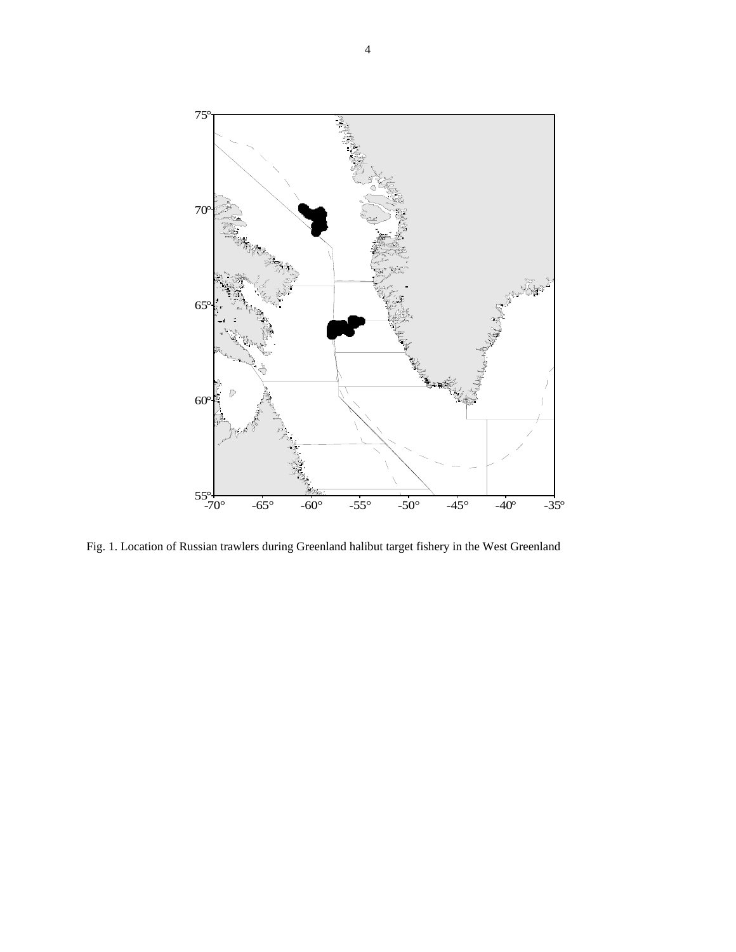

Fig. 1. Location of Russian trawlers during Greenland halibut target fishery in the West Greenland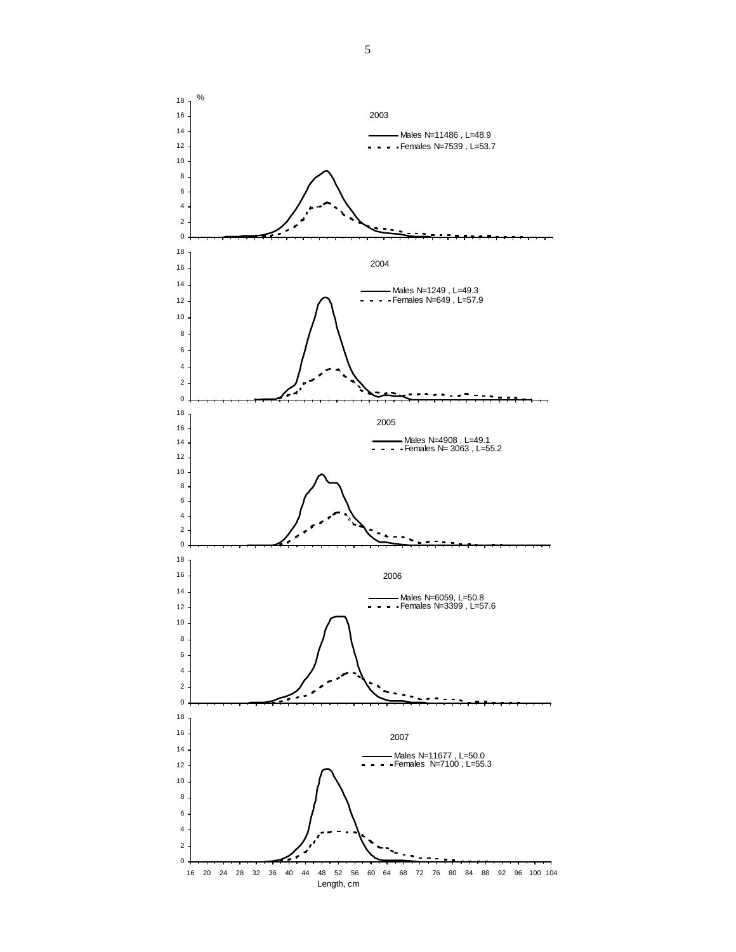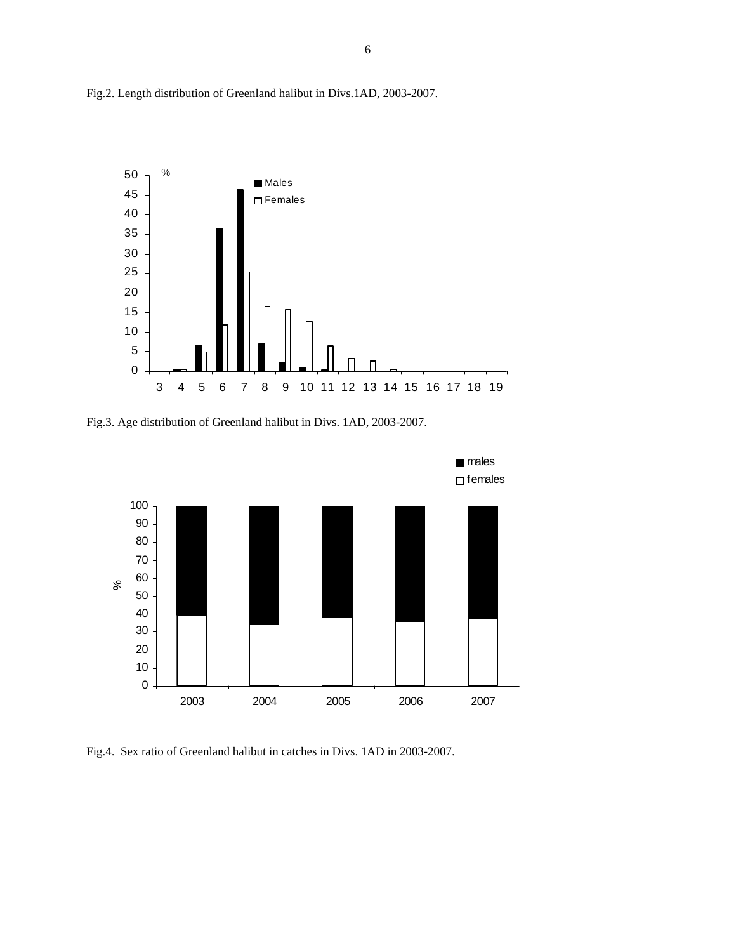

Fig.2. Length distribution of Greenland halibut in Divs.1AD, 2003-2007.





Fig.4. Sex ratio of Greenland halibut in catches in Divs. 1AD in 2003-2007.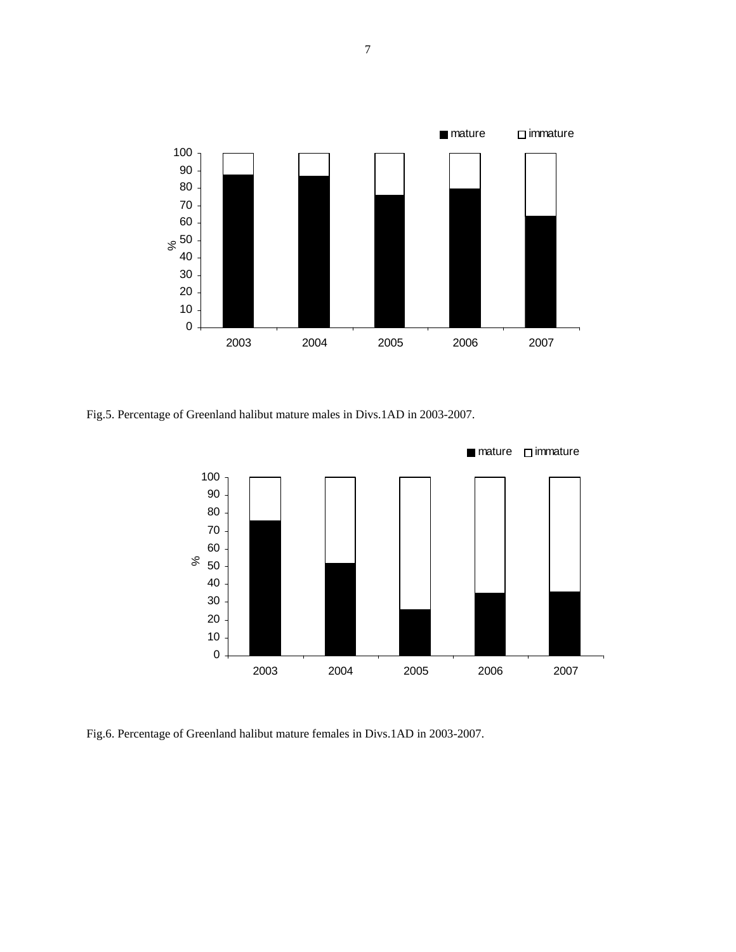

Fig.5. Percentage of Greenland halibut mature males in Divs.1AD in 2003-2007.



Fig.6. Percentage of Greenland halibut mature females in Divs.1AD in 2003-2007.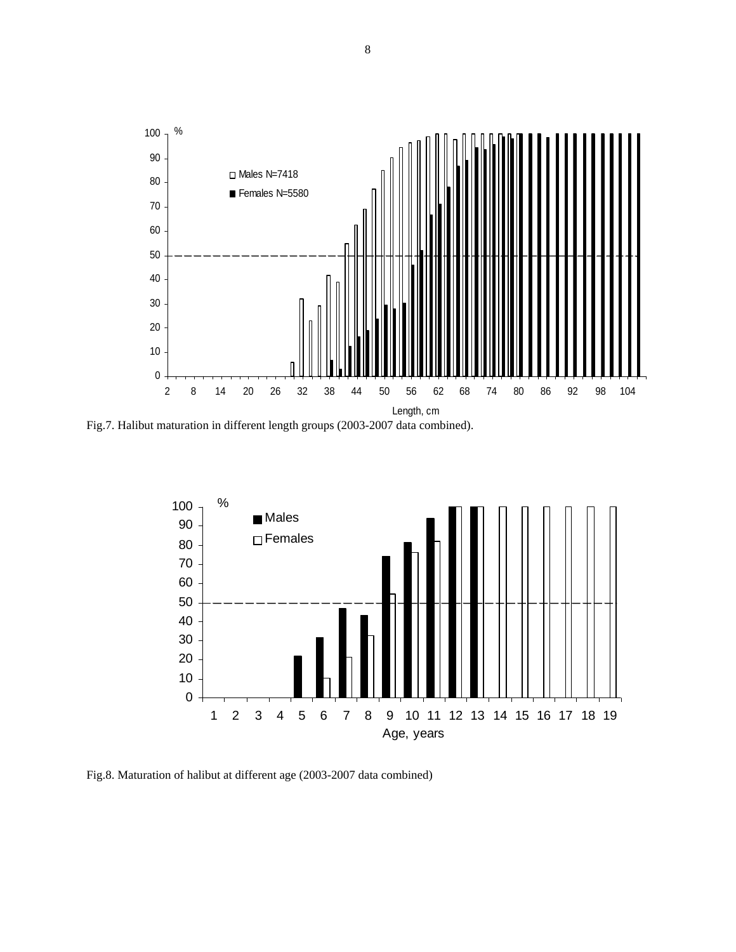

Fig.7. Halibut maturation in different length groups (2003-2007 data combined).



Fig.8. Maturation of halibut at different age (2003-2007 data combined)